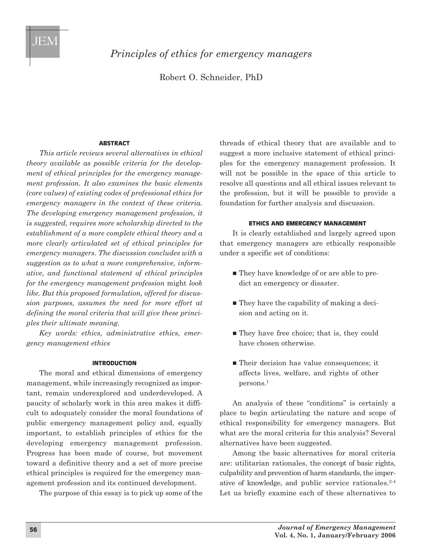*Principles of ethics for emergency managers*

Robert O. Schneider, PhD

### **ABSTRACT**

*This article reviews several alternatives in ethical theory available as possible criteria for the development of ethical principles for the emergency management profession. It also examines the basic elements (core values) of existing codes of professional ethics for emergency managers in the context of these criteria. The developing emergency management profession, it is suggested, requires more scholarship directed to the establishment of a more complete ethical theory and a more clearly articulated set of ethical principles for emergency managers. The discussion concludes with a suggestion as to what a more comprehensive, informative, and functional statement of ethical principles for the emergency management profession* might *look like. But this proposed formulation, offered for discussion purposes, assumes the need for more effort at defining the moral criteria that will give these principles their ultimate meaning.* 

*Key words: ethics, administrative ethics, emergency management ethics*

### **INTRODUCTION**

The moral and ethical dimensions of emergency management, while increasingly recognized as important, remain underexplored and underdeveloped. A paucity of scholarly work in this area makes it difficult to adequately consider the moral foundations of public emergency management policy and, equally important, to establish principles of ethics for the developing emergency management profession. Progress has been made of course, but movement toward a definitive theory and a set of more precise ethical principles is required for the emergency management profession and its continued development.

The purpose of this essay is to pick up some of the

threads of ethical theory that are available and to suggest a more inclusive statement of ethical principles for the emergency management profession. It will not be possible in the space of this article to resolve all questions and all ethical issues relevant to the profession, but it will be possible to provide a foundation for further analysis and discussion.

## **ETHICS AND EMERGENCY MANAGEMENT**

It is clearly established and largely agreed upon that emergency managers are ethically responsible under a specific set of conditions:

- They have knowledge of or are able to predict an emergency or disaster.
- $\blacksquare$  They have the capability of making a decision and acting on it.
- They have free choice; that is, they could have chosen otherwise.
- $\blacksquare$  Their decision has value consequences; it affects lives, welfare, and rights of other persons.1

An analysis of these "conditions" is certainly a place to begin articulating the nature and scope of ethical responsibility for emergency managers. But what are the moral criteria for this analysis? Several alternatives have been suggested.

Among the basic alternatives for moral criteria are: utilitarian rationales, the concept of basic rights, culpability and prevention of harm standards, the imperative of knowledge, and public service rationales.2-4 Let us briefly examine each of these alternatives to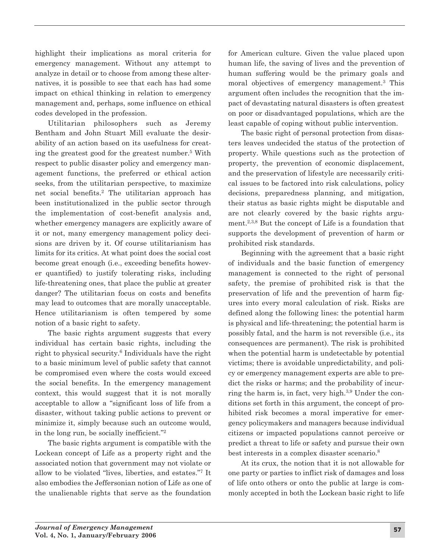highlight their implications as moral criteria for emergency management. Without any attempt to analyze in detail or to choose from among these alternatives, it is possible to see that each has had some impact on ethical thinking in relation to emergency management and, perhaps, some influence on ethical codes developed in the profession.

Utilitarian philosophers such as Jeremy Bentham and John Stuart Mill evaluate the desirability of an action based on its usefulness for creating the greatest good for the greatest number.5 With respect to public disaster policy and emergency management functions, the preferred or ethical action seeks, from the utilitarian perspective, to maximize net social benefits.2 The utilitarian approach has been institutionalized in the public sector through the implementation of cost-benefit analysis and, whether emergency managers are explicitly aware of it or not, many emergency management policy decisions are driven by it. Of course utilitarianism has limits for its critics. At what point does the social cost become great enough (i.e., exceeding benefits however quantified) to justify tolerating risks, including life-threatening ones, that place the public at greater danger? The utilitarian focus on costs and benefits may lead to outcomes that are morally unacceptable. Hence utilitarianism is often tempered by some notion of a basic right to safety.

The basic rights argument suggests that every individual has certain basic rights, including the right to physical security.<sup>6</sup> Individuals have the right to a basic minimum level of public safety that cannot be compromised even where the costs would exceed the social benefits. In the emergency management context, this would suggest that it is not morally acceptable to allow a "significant loss of life from a disaster, without taking public actions to prevent or minimize it, simply because such an outcome would, in the long run, be socially inefficient."2

The basic rights argument is compatible with the Lockean concept of Life as a property right and the associated notion that government may not violate or allow to be violated "lives, liberties, and estates."7 It also embodies the Jeffersonian notion of Life as one of the unalienable rights that serve as the foundation

for American culture. Given the value placed upon human life, the saving of lives and the prevention of human suffering would be the primary goals and moral objectives of emergency management.3 This argument often includes the recognition that the im pact of devastating natural disasters is often greatest on poor or disadvantaged populations, which are the least capable of coping without public intervention.

The basic right of personal protection from disasters leaves undecided the status of the protection of property. While questions such as the protection of property, the prevention of economic displacement, and the preservation of lifestyle are necessarily critical issues to be factored into risk calculations, policy decisions, preparedness planning, and mitigation, their status as basic rights might be disputable and are not clearly covered by the basic rights argument.2,3,8 But the concept of Life is a foundation that supports the development of prevention of harm or prohibited risk standards.

Beginning with the agreement that a basic right of individuals and the basic function of emergency management is connected to the right of personal safety, the premise of prohibited risk is that the preservation of life and the prevention of harm figures into every moral calculation of risk. Risks are defined along the following lines: the potential harm is physical and life-threatening; the potential harm is possibly fatal, and the harm is not reversible (i.e., its consequences are permanent). The risk is prohibited when the potential harm is undetectable by potential victims; there is avoidable unpredictability, and policy or emergency management experts are able to predict the risks or harms; and the probability of incurring the harm is, in fact, very high.3,9 Under the conditions set forth in this argument, the concept of prohibited risk becomes a moral imperative for emergency policymakers and managers because individual citizens or impacted populations cannot perceive or predict a threat to life or safety and pursue their own best interests in a complex disaster scenario.<sup>8</sup>

At its crux, the notion that it is not allowable for one party or parties to inflict risk of damages and loss of life onto others or onto the public at large is commonly accepted in both the Lockean basic right to life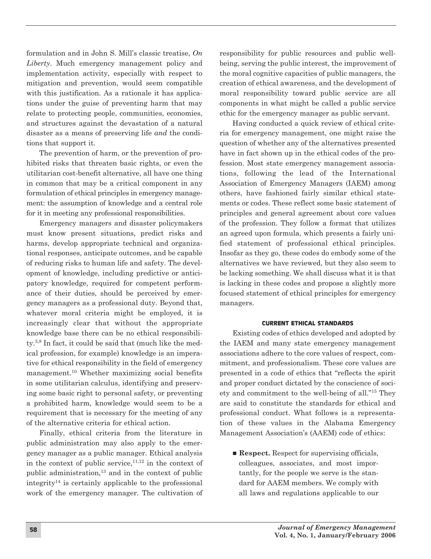formulation and in John S. Mill's classic treatise, *On Liberty*. Much emergency management policy and implementation activity, especially with respect to mitigation and prevention, would seem compatible with this justification. As a rationale it has applications under the guise of preventing harm that may relate to protecting people, communities, economies, and structures against the devastation of a natural disaster as a means of preserving life *and* the conditions that support it.

The prevention of harm, or the prevention of prohibited risks that threaten basic rights, or even the utilitarian cost-benefit alternative, all have one thing in common that may be a critical component in any formulation of ethical principles in emergency management: the assumption of knowledge and a central role for it in meeting any professional responsibilities.

Emergency managers and disaster policymakers must know present situations, predict risks and harms, develop appropriate technical and organizational responses, anticipate outcomes, and be capable of reducing risks to human life and safety. The development of knowledge, including predictive or anticipatory knowledge, required for competent performance of their duties, should be perceived by emergency managers as a professional duty. Beyond that, whatever moral criteria might be employed, it is increasingly clear that without the appropriate knowledge base there can be no ethical responsibility.3,8 In fact, it could be said that (much like the medical profession, for example) knowledge is an imperative for ethical responsibility in the field of emergency management.10 Whether maximizing social benefits in some utilitarian calculus, identifying and preserving some basic right to personal safety, or preventing a prohibited harm, knowledge would seem to be a requirement that is necessary for the meeting of any of the alternative criteria for ethical action.

Finally, ethical criteria from the literature in public administration may also apply to the emergency manager as a public manager. Ethical analysis in the context of public service, $11,12$  in the context of public administration, $13$  and in the context of public integrity<sup>14</sup> is certainly applicable to the professional work of the emergency manager. The cultivation of

responsibility for public resources and public wellbeing, serving the public interest, the improvement of the moral cognitive capacities of public managers, the creation of ethical awareness, and the development of moral responsibility toward public service are all components in what might be called a public service ethic for the emergency manager as public servant.

Having conducted a quick review of ethical criteria for emergency management, one might raise the question of whether any of the alternatives presented have in fact shown up in the ethical codes of the profession. Most state emergency management associations, following the lead of the International Association of Emergency Managers (IAEM) among others, have fashioned fairly similar ethical statements or codes. These reflect some basic statement of principles and general agreement about core values of the profession. They follow a format that utilizes an agreed upon formula, which presents a fairly unified statement of professional ethical principles. Insofar as they go, these codes do embody some of the alternatives we have reviewed, but they also seem to be lacking something. We shall discuss what it is that is lacking in these codes and propose a slightly more focused statement of ethical principles for emergency managers.

## **CURRENT ETHICAL STANDARDS**

Existing codes of ethics developed and adopted by the IAEM and many state emergency management associations adhere to the core values of respect, commitment, and professionalism. These core values are presented in a code of ethics that "reflects the spirit and proper conduct dictated by the conscience of society and commitment to the well-being of all."15 They are said to constitute the standards for ethical and professional conduct. What follows is a representation of these values in the Alabama Emergency Management Association's (AAEM) code of ethics:

■ **Respect.** Respect for supervising officials, colleagues, associates, and most importantly, for the people we serve is the standard for AAEM members. We comply with all laws and regulations applicable to our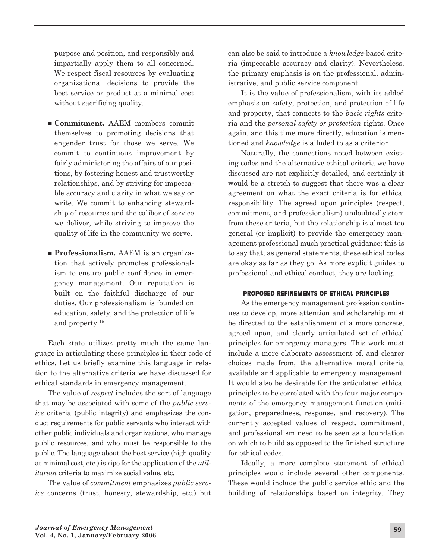purpose and position, and responsibly and impartially apply them to all concerned. We respect fiscal resources by evaluating organizational decisions to provide the best service or product at a minimal cost without sacrificing quality.

- **Commitment.** AAEM members commit themselves to promoting decisions that engender trust for those we serve. We commit to continuous improvement by fairly administering the affairs of our positions, by fostering honest and trustworthy relationships, and by striving for impeccable accuracy and clarity in what we say or write. We commit to enhancing stewardship of resources and the caliber of service we deliver, while striving to improve the quality of life in the community we serve.
- **Professionalism.** AAEM is an organization that actively promotes professionalism to ensure public confidence in emergency management. Our reputation is built on the faithful discharge of our duties. Our professionalism is founded on education, safety, and the protection of life and property.15

Each state utilizes pretty much the same language in articulating these principles in their code of ethics. Let us briefly examine this language in relation to the alternative criteria we have discussed for ethical standards in emergency management.

The value of *respect* includes the sort of language that may be associated with some of the *public service* criteria (public integrity) and emphasizes the conduct requirements for public servants who interact with other public individuals and organizations, who manage public resources, and who must be responsible to the public. The language about the best service (high quality at minimal cost, etc.) is ripe for the application of the *utilitarian* criteria to maximize social value, etc.

The value of *commitment* emphasizes *public service* concerns (trust, honesty, stewardship, etc.) but can also be said to introduce a *knowledge*-based criteria (impeccable accuracy and clarity). Nevertheless, the primary emphasis is on the professional, administrative, and public service component.

It is the value of professionalism, with its added emphasis on safety, protection, and protection of life and property, that connects to the *basic rights* criteria and the *personal safety or protection* rights. Once again, and this time more directly, education is mentioned and *knowledge* is alluded to as a criterion.

Naturally, the connections noted between existing codes and the alternative ethical criteria we have discussed are not explicitly detailed, and certainly it would be a stretch to suggest that there was a clear agreement on what the exact criteria is for ethical responsibility. The agreed upon principles (respect, commitment, and professionalism) undoubtedly stem from these criteria, but the relationship is almost too general (or implicit) to provide the emergency management professional much practical guidance; this is to say that, as general statements, these ethical codes are okay as far as they go. As more explicit guides to professional and ethical conduct, they are lacking.

## **PROPOSED REFINEMENTS OF ETHICAL PRINCIPLES**

As the emergency management profession continues to develop, more attention and scholarship must be directed to the establishment of a more concrete, agreed upon, and clearly articulated set of ethical principles for emergency managers. This work must include a more elaborate assessment of, and clearer choices made from, the alternative moral criteria available and applicable to emergency management. It would also be desirable for the articulated ethical principles to be correlated with the four major components of the emergency management function (mitigation, preparedness, response, and recovery). The currently accepted values of respect, commitment, and professionalism need to be seen as a foundation on which to build as opposed to the finished structure for ethical codes.

Ideally, a more complete statement of ethical principles would include several other components. These would include the public service ethic and the building of relationships based on integrity. They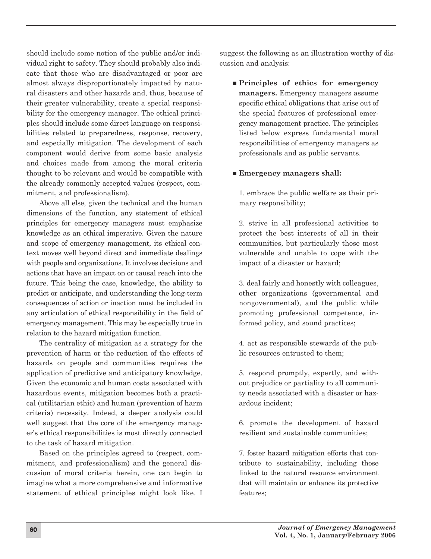should include some notion of the public and/or individual right to safety. They should probably also indicate that those who are disadvantaged or poor are almost always disproportionately impacted by natural disasters and other hazards and, thus, because of their greater vulnerability, create a special responsibility for the emergency manager. The ethical principles should include some direct language on responsibilities related to preparedness, response, recovery, and especially mitigation. The development of each component would derive from some basic analysis and choices made from among the moral criteria thought to be relevant and would be compatible with the already commonly accepted values (respect, commitment, and professionalism).

Above all else, given the technical and the human dimensions of the function, any statement of ethical principles for emergency managers must emphasize knowledge as an ethical imperative. Given the nature and scope of emergency management, its ethical context moves well beyond direct and immediate dealings with people and organizations. It involves decisions and actions that have an impact on or causal reach into the future. This being the case, knowledge, the ability to predict or anticipate, and understanding the long-term consequences of action or inaction must be included in any articulation of ethical responsibility in the field of emergency management. This may be especially true in relation to the hazard mitigation function.

The centrality of mitigation as a strategy for the prevention of harm or the reduction of the effects of hazards on people and communities requires the application of predictive and anticipatory knowledge. Given the economic and human costs associated with hazardous events, mitigation becomes both a practical (utilitarian ethic) and human (prevention of harm criteria) necessity. Indeed, a deeper analysis could well suggest that the core of the emergency manager's ethical responsibilities is most directly connected to the task of hazard mitigation.

Based on the principles agreed to (respect, commitment, and professionalism) and the general discussion of moral criteria herein, one can begin to imagine what a more comprehensive and informative statement of ethical principles might look like. I suggest the following as an illustration worthy of discussion and analysis:

n **Principles of ethics for emergency managers.** Emergency managers assume specific ethical obligations that arise out of the special features of professional emergency management practice. The principles listed below express fundamental moral responsibilities of emergency managers as professionals and as public servants.

## ■ **Emergency managers shall:**

1. embrace the public welfare as their primary responsibility;

2. strive in all professional activities to protect the best interests of all in their communities, but particularly those most vulnerable and unable to cope with the impact of a disaster or hazard;

3. deal fairly and honestly with colleagues, other organizations (governmental and nongovernmental), and the public while promoting professional competence, informed policy, and sound practices;

4. act as responsible stewards of the public resources entrusted to them;

5. respond promptly, expertly, and without prejudice or partiality to all community needs associated with a disaster or hazardous incident;

6. promote the development of hazard resilient and sustainable communities;

7. foster hazard mitigation efforts that contribute to sustainability, including those linked to the natural resource environment that will maintain or enhance its protective features;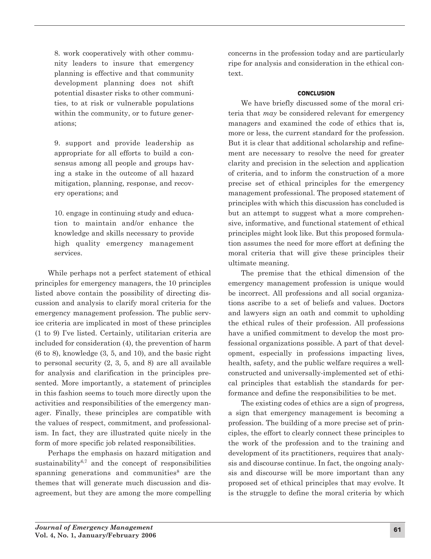8. work cooperatively with other community leaders to insure that emergency planning is effective and that community development planning does not shift potential disaster risks to other communities, to at risk or vulnerable populations within the community, or to future generations;

9. support and provide leadership as appropriate for all efforts to build a consensus among all people and groups having a stake in the outcome of all hazard mitigation, planning, response, and recovery operations; and

10. engage in continuing study and education to maintain and/or enhance the knowledge and skills necessary to provide high quality emergency management services.

While perhaps not a perfect statement of ethical principles for emergency managers, the 10 principles listed above contain the possibility of directing discussion and analysis to clarify moral criteria for the emergency management profession. The public service criteria are implicated in most of these principles (1 to 9) I've listed. Certainly, utilitarian criteria are included for consideration (4), the prevention of harm (6 to 8), knowledge (3, 5, and 10), and the basic right to personal security (2, 3, 5, and 8) are all available for analysis and clarification in the principles presented. More importantly, a statement of principles in this fashion seems to touch more directly upon the activities and responsibilities of the emergency manager. Finally, these principles are compatible with the values of respect, commitment, and professionalism. In fact, they are illustrated quite nicely in the form of more specific job related responsibilities.

Perhaps the emphasis on hazard mitigation and sustainability<sup>6,7</sup> and the concept of responsibilities spanning generations and communities<sup>8</sup> are the themes that will generate much discussion and disagreement, but they are among the more compelling concerns in the profession today and are particularly ripe for analysis and consideration in the ethical context.

## **CONCLUSION**

We have briefly discussed some of the moral criteria that *may* be considered relevant for emergency managers and examined the code of ethics that is, more or less, the current standard for the profession. But it is clear that additional scholarship and refinement are necessary to resolve the need for greater clarity and precision in the selection and application of criteria, and to inform the construction of a more precise set of ethical principles for the emergency management professional. The proposed statement of principles with which this discussion has concluded is but an attempt to suggest what a more comprehensive, informative, and functional statement of ethical principles might look like. But this proposed formulation assumes the need for more effort at defining the moral criteria that will give these principles their ultimate meaning.

The premise that the ethical dimension of the emergency management profession is unique would be incorrect. All professions and all social organizations ascribe to a set of beliefs and values. Doctors and lawyers sign an oath and commit to upholding the ethical rules of their profession. All professions have a unified commitment to develop the most professional organizations possible. A part of that development, especially in professions impacting lives, health, safety, and the public welfare requires a wellconstructed and universally-implemented set of ethical principles that establish the standards for performance and define the responsibilities to be met.

The existing codes of ethics are a sign of progress, a sign that emergency management is becoming a profession. The building of a more precise set of principles, the effort to clearly connect these principles to the work of the profession and to the training and development of its practitioners, requires that analysis and discourse continue. In fact, the ongoing analysis and discourse will be more important than any proposed set of ethical principles that may evolve. It is the struggle to define the moral criteria by which